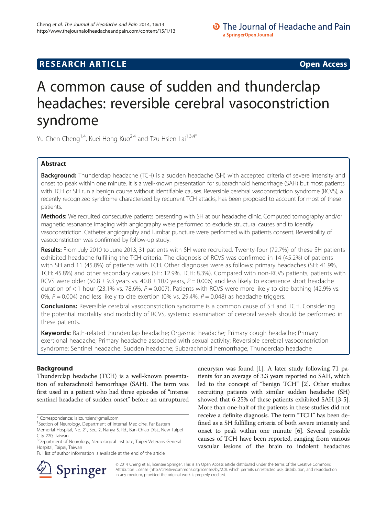## **RESEARCH ARTICLE Example 2014 CONSUMING A RESEARCH ARTICLE**

# A common cause of sudden and thunderclap headaches: reversible cerebral vasoconstriction syndrome

Yu-Chen Cheng<sup>1,4</sup>, Kuei-Hong Kuo<sup>2,4</sup> and Tzu-Hsien Lai<sup>1,3,4\*</sup>

## Abstract

Background: Thunderclap headache (TCH) is a sudden headache (SH) with accepted criteria of severe intensity and onset to peak within one minute. It is a well-known presentation for subarachnoid hemorrhage (SAH) but most patients with TCH or SH run a benign course without identifiable causes. Reversible cerebral vasoconstriction syndrome (RCVS), a recently recognized syndrome characterized by recurrent TCH attacks, has been proposed to account for most of these patients.

Methods: We recruited consecutive patients presenting with SH at our headache clinic. Computed tomography and/or magnetic resonance imaging with angiography were performed to exclude structural causes and to identify vasoconstriction. Catheter angiography and lumbar puncture were performed with patients consent. Reversibility of vasoconstriction was confirmed by follow-up study.

Results: From July 2010 to June 2013, 31 patients with SH were recruited. Twenty-four (72.7%) of these SH patients exhibited headache fulfilling the TCH criteria. The diagnosis of RCVS was confirmed in 14 (45.2%) of patients with SH and 11 (45.8%) of patients with TCH. Other diagnoses were as follows: primary headaches (SH: 41.9%, TCH: 45.8%) and other secondary causes (SH: 12.9%, TCH: 8.3%). Compared with non-RCVS patients, patients with RCVS were older (50.8  $\pm$  9.3 years vs. 40.8  $\pm$  10.0 years, P = 0.006) and less likely to experience short headache duration of  $< 1$  hour (23.1% vs. 78.6%,  $P = 0.007$ ). Patients with RCVS were more likely to cite bathing (42.9% vs. 0%,  $P = 0.004$ ) and less likely to cite exertion (0% vs. 29.4%,  $P = 0.048$ ) as headache triggers.

**Conclusions:** Reversible cerebral vasoconstriction syndrome is a common cause of SH and TCH. Considering the potential mortality and morbidity of RCVS, systemic examination of cerebral vessels should be performed in these patients.

Keywords: Bath-related thunderclap headache; Orgasmic headache; Primary cough headache; Primary exertional headache; Primary headache associated with sexual activity; Reversible cerebral vasoconstriction syndrome; Sentinel headache; Sudden headache; Subarachnoid hemorrhage; Thunderclap headache

## Background

Thunderclap headache (TCH) is a well-known presentation of subarachnoid hemorrhage (SAH). The term was first used in a patient who had three episodes of "intense sentinel headache of sudden onset" before an unruptured aneurysm was found [[1](#page-8-0)]. A later study following 71 patients for an average of 3.3 years reported no SAH, which led to the concept of "benign TCH" [[2](#page-8-0)]. Other studies recruiting patients with similar sudden headache (SH) showed that 6-25% of these patients exhibited SAH [\[3](#page-8-0)-[5](#page-8-0)]. More than one-half of the patients in these studies did not receive a definite diagnosis. The term "TCH" has been defined as a SH fulfilling criteria of both severe intensity and onset to peak within one minute [\[6](#page-9-0)]. Several possible causes of TCH have been reported, ranging from various vascular lesions of the brain to indolent headaches



© 2014 Cheng et al.; licensee Springer. This is an Open Access article distributed under the terms of the Creative Commons Attribution License [\(http://creativecommons.org/licenses/by/2.0\)](http://creativecommons.org/licenses/by/2.0), which permits unrestricted use, distribution, and reproduction in any medium, provided the original work is properly credited.

<sup>\*</sup> Correspondence: [laitzuhsien@gmail.com](mailto:laitzuhsien@gmail.com) <sup>1</sup>

<sup>&</sup>lt;sup>1</sup> Section of Neurology, Department of Internal Medicine, Far Eastern

Memorial Hospital, No. 21, Sec. 2, Nanya S. Rd., Ban-Chiao Dist., New Taipei City 220, Taiwan

<sup>&</sup>lt;sup>3</sup>Department of Neurology, Neurological Institute, Taipei Veterans General Hospital, Taipei, Taiwan

Full list of author information is available at the end of the article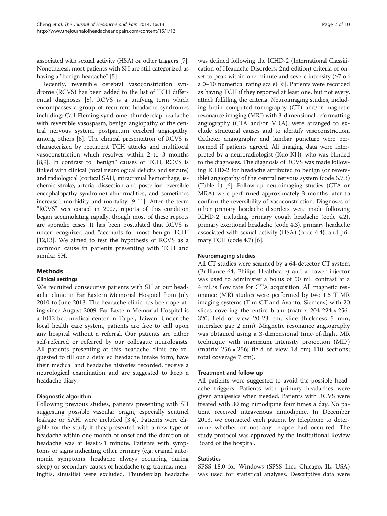associated with sexual activity (HSA) or other triggers [[7](#page-9-0)]. Nonetheless, most patients with SH are still categorized as having a "benign headache" [\[5\]](#page-8-0).

Recently, reversible cerebral vasoconstriction syndrome (RCVS) has been added to the list of TCH differential diagnoses [\[8](#page-9-0)]. RCVS is a unifying term which encompasses a group of recurrent headache syndromes including: Call-Fleming syndrome, thunderclap headache with reversible vasospasm, benign angiopathy of the central nervous system, postpartum cerebral angiopathy, among others [\[8](#page-9-0)]. The clinical presentation of RCVS is characterized by recurrent TCH attacks and multifocal vasoconstriction which resolves within 2 to 3 months [[8,9\]](#page-9-0). In contrast to "benign" causes of TCH, RCVS is linked with clinical (focal neurological deficits and seizure) and radiological (cortical SAH, intracranial hemorrhage, ischemic stroke, arterial dissection and posterior reversible encephalopathy syndrome) abnormalities, and sometimes increased morbidity and mortality [\[9-11\]](#page-9-0). After the term "RCVS" was coined in 2007, reports of this condition began accumulating rapidly, though most of these reports are sporadic cases. It has been postulated that RCVS is under-recognized and "accounts for most benign TCH" [[12,13\]](#page-9-0). We aimed to test the hypothesis of RCVS as a common cause in patients presenting with TCH and similar SH.

## Methods

## Clinical settings

We recruited consecutive patients with SH at our headache clinic in Far Eastern Memorial Hospital from July 2010 to June 2013. The headache clinic has been operating since August 2009. Far Eastern Memorial Hospital is a 1012-bed medical center in Taipei, Taiwan. Under the local health care system, patients are free to call upon any hospital without a referral. Our patients are either self-referred or referred by our colleague neurologists. All patients presenting at this headache clinic are requested to fill out a detailed headache intake form, have their medical and headache histories recorded, receive a neurological examination and are suggested to keep a headache diary.

## Diagnostic algorithm

Following previous studies, patients presenting with SH suggesting possible vascular origin, especially sentinel leakage or SAH, were included [[3,4\]](#page-8-0). Patients were eligible for the study if they presented with a new type of headache within one month of onset and the duration of headache was at least > 1 minute. Patients with symptoms or signs indicating other primary (e.g. cranial autonomic symptoms, headache always occurring during sleep) or secondary causes of headache (e.g. trauma, meningitis, sinusitis) were excluded. Thunderclap headache was defined following the ICHD-2 (International Classification of Headache Disorders, 2nd edition) criteria of onset to peak within one minute and severe intensity (≥7 on a 0–10 numerical rating scale) [\[6](#page-9-0)]. Patients were recorded as having TCH if they reported at least one, but not every, attack fulfilling the criteria. Neuroimaging studies, including brain computed tomography (CT) and/or magnetic resonance imaging (MRI) with 3-dimensional reformatting angiography (CTA and/or MRA), were arranged to exclude structural causes and to identify vasoconstriction. Catheter angiography and lumbar puncture were performed if patients agreed. All imaging data were interpreted by a neuroradiologist (Kuo KH), who was blinded to the diagnoses. The diagnosis of RCVS was made following ICHD-2 for headache attributed to benign (or reversible) angiopathy of the central nervous system (code 6.7.3) (Table [1](#page-2-0)) [\[6\]](#page-9-0). Follow-up neuroimaging studies (CTA or MRA) were performed approximately 3 months later to confirm the reversibility of vasoconstriction. Diagnoses of other primary headache disorders were made following ICHD-2, including primary cough headache (code 4.2), primary exertional headache (code 4.3), primary headache associated with sexual activity (HSA) (code 4.4), and primary TCH (code 4.7) [\[6](#page-9-0)].

## Neuroimaging studies

All CT studies were scanned by a 64-detector CT system (Brilliance-64, Philips Healthcare) and a power injector was used to administer a bolus of 50 mL contrast at a 4 mL/s flow rate for CTA acquisition. All magnetic resonance (MR) studies were performed by two 1.5 T MR imaging systems (Tim CT and Avanto, Siemens) with 20 slices covering the entire brain (matrix  $204-224 \times 256$ -320; field of view 20-23 cm; slice thickness 5 mm, interslice gap 2 mm). Magnetic resonance angiography was obtained using a 3-dimensional time-of-flight MR technique with maximum intensity projection (MIP) (matrix  $256 \times 256$ ; field of view 18 cm; 110 sections; total coverage 7 cm).

#### Treatment and follow up

All patients were suggested to avoid the possible headache triggers. Patients with primary headaches were given analgesics when needed. Patients with RCVS were treated with 30 mg nimodipine four times a day. No patient received intravenous nimodipine. In December 2013, we contacted each patient by telephone to determine whether or not any relapse had occurred. The study protocol was approved by the Institutional Review Board of the hospital.

#### **Statistics**

SPSS 18.0 for Windows (SPSS Inc., Chicago, IL, USA) was used for statistical analyses. Descriptive data were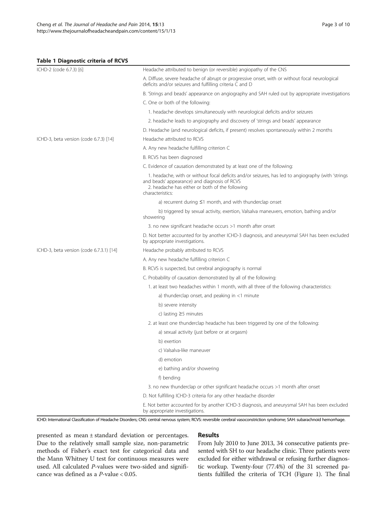## <span id="page-2-0"></span>Table 1 Diagnostic criteria of RCVS

| ICHD-2 (code 6.7.3) [6]                  | Headache attributed to benign (or reversible) angiopathy of the CNS                                                                                                                                                       |  |  |  |  |
|------------------------------------------|---------------------------------------------------------------------------------------------------------------------------------------------------------------------------------------------------------------------------|--|--|--|--|
|                                          | A. Diffuse, severe headache of abrupt or progressive onset, with or without focal neurological<br>deficits and/or seizures and fulfilling criteria C and D                                                                |  |  |  |  |
|                                          | B. 'Strings and beads' appearance on angiography and SAH ruled out by appropriate investigations                                                                                                                          |  |  |  |  |
|                                          | C. One or both of the following:                                                                                                                                                                                          |  |  |  |  |
|                                          | 1. headache develops simultaneously with neurological deficits and/or seizures                                                                                                                                            |  |  |  |  |
|                                          | 2. headache leads to angiography and discovery of 'strings and beads' appearance                                                                                                                                          |  |  |  |  |
|                                          | D. Headache (and neurological deficits, if present) resolves spontaneously within 2 months                                                                                                                                |  |  |  |  |
| ICHD-3, beta version (code 6.7.3) [14]   | Headache attributed to RCVS                                                                                                                                                                                               |  |  |  |  |
|                                          | A. Any new headache fulfilling criterion C                                                                                                                                                                                |  |  |  |  |
|                                          | B. RCVS has been diagnosed                                                                                                                                                                                                |  |  |  |  |
|                                          | C. Evidence of causation demonstrated by at least one of the following:                                                                                                                                                   |  |  |  |  |
|                                          | 1. headache, with or without focal deficits and/or seizures, has led to angiography (with 'strings<br>and beads' appearance) and diagnosis of RCVS<br>2. headache has either or both of the following<br>characteristics: |  |  |  |  |
|                                          | a) recurrent during $\leq 1$ month, and with thunderclap onset                                                                                                                                                            |  |  |  |  |
|                                          | b) triggered by sexual activity, exertion, Valsalva maneuvers, emotion, bathing and/or<br>showering                                                                                                                       |  |  |  |  |
|                                          | 3. no new significant headache occurs >1 month after onset                                                                                                                                                                |  |  |  |  |
|                                          | D. Not better accounted for by another ICHD-3 diagnosis, and aneurysmal SAH has been excluded<br>by appropriate investigations.                                                                                           |  |  |  |  |
| ICHD-3, beta version (code 6.7.3.1) [14] | Headache probably attributed to RCVS                                                                                                                                                                                      |  |  |  |  |
|                                          | A. Any new headache fulfilling criterion C                                                                                                                                                                                |  |  |  |  |
|                                          | B. RCVS is suspected, but cerebral angiography is normal                                                                                                                                                                  |  |  |  |  |
|                                          | C. Probability of causation demonstrated by all of the following:                                                                                                                                                         |  |  |  |  |
|                                          | 1. at least two headaches within 1 month, with all three of the following characteristics:                                                                                                                                |  |  |  |  |
|                                          | a) thunderclap onset, and peaking in $<$ 1 minute                                                                                                                                                                         |  |  |  |  |
|                                          | b) severe intensity                                                                                                                                                                                                       |  |  |  |  |
|                                          | c) lasting $\geq$ 5 minutes                                                                                                                                                                                               |  |  |  |  |
|                                          | 2. at least one thunderclap headache has been triggered by one of the following:                                                                                                                                          |  |  |  |  |
|                                          | a) sexual activity (just before or at orgasm)                                                                                                                                                                             |  |  |  |  |
|                                          | b) exertion                                                                                                                                                                                                               |  |  |  |  |
|                                          | c) Valsalva-like maneuver                                                                                                                                                                                                 |  |  |  |  |
|                                          | d) emotion                                                                                                                                                                                                                |  |  |  |  |
|                                          | e) bathing and/or showering                                                                                                                                                                                               |  |  |  |  |
|                                          | f) bending                                                                                                                                                                                                                |  |  |  |  |
|                                          | 3. no new thunderclap or other significant headache occurs >1 month after onset                                                                                                                                           |  |  |  |  |
|                                          | D. Not fulfilling ICHD-3 criteria for any other headache disorder                                                                                                                                                         |  |  |  |  |
|                                          | E. Not better accounted for by another ICHD-3 diagnosis, and aneurysmal SAH has been excluded<br>by appropriate investigations.                                                                                           |  |  |  |  |

ICHD: International Classification of Headache Disorders; CNS: central nervous system; RCVS: reversible cerebral vasoconstriction syndrome; SAH: subarachnoid hemorrhage.

presented as mean ± standard deviation or percentages. Due to the relatively small sample size, non-parametric methods of Fisher's exact test for categorical data and the Mann Whitney U test for continuous measures were used. All calculated P-values were two-sided and significance was defined as a P-value < 0.05.

#### Results

From July 2010 to June 2013, 34 consecutive patients presented with SH to our headache clinic. Three patients were excluded for either withdrawal or refusing further diagnostic workup. Twenty-four (77.4%) of the 31 screened patients fulfilled the criteria of TCH (Figure [1\)](#page-3-0). The final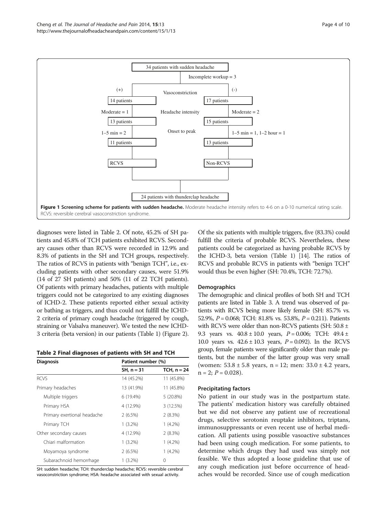<span id="page-3-0"></span>

diagnoses were listed in Table 2. Of note, 45.2% of SH patients and 45.8% of TCH patients exhibited RCVS. Secondary causes other than RCVS were recorded in 12.9% and 8.3% of patients in the SH and TCH groups, respectively. The ratios of RCVS in patients with "benign TCH", i.e., excluding patients with other secondary causes, were 51.9% (14 of 27 SH patients) and 50% (11 of 22 TCH patients). Of patients with primary headaches, patients with multiple triggers could not be categorized to any existing diagnoses of ICHD-2. These patients reported either sexual activity or bathing as triggers, and thus could not fulfill the ICHD-2 criteria of primary cough headache (triggered by cough, straining or Valsalva maneuver). We tested the new ICHD-3 criteria (beta version) in our patients (Table [1](#page-2-0)) (Figure [2](#page-4-0)).

Table 2 Final diagnoses of patients with SH and TCH

| <b>Diagnosis</b>            | Patient number (%) |               |  |  |
|-----------------------------|--------------------|---------------|--|--|
|                             | SH, $n = 31$       | TCH, $n = 24$ |  |  |
| <b>RCVS</b>                 | 14 (45.2%)         | 11 (45.8%)    |  |  |
| Primary headaches           | 13 (41.9%)         | 11 (45.8%)    |  |  |
| Multiple triggers           | 6(19.4%)           | 5(20.8%)      |  |  |
| Primary HSA                 | 4 (12.9%)          | 3 (12.5%)     |  |  |
| Primary exertional headache | 2(6.5%)            | 2(8.3%)       |  |  |
| Primary TCH                 | $1(3.2\%)$         | $1(4.2\%)$    |  |  |
| Other secondary causes      | 4 (12.9%)          | 2(8.3%)       |  |  |
| Chiari malformation         | $1(3.2\%)$         | $1(4.2\%)$    |  |  |
| Moyamoya syndrome           | 2(6.5%)            | $1(4.2\%)$    |  |  |
| Subarachnoid hemorrhage     | $1(3.2\%)$         | 0             |  |  |

SH: sudden headache; TCH: thunderclap headache; RCVS: reversible cerebral vasoconstriction syndrome; HSA: headache associated with sexual activity.

Of the six patients with multiple triggers, five (83.3%) could fulfill the criteria of probable RCVS. Nevertheless, these patients could be categorized as having probable RCVS by the ICHD-3, beta version (Table [1\)](#page-2-0) [\[14](#page-9-0)]. The ratios of RCVS and probable RCVS in patients with "benign TCH" would thus be even higher (SH: 70.4%, TCH: 72.7%).

## **Demographics**

The demographic and clinical profiles of both SH and TCH patients are listed in Table [3](#page-5-0). A trend was observed of patients with RCVS being more likely female (SH: 85.7% vs. 52.9%,  $P = 0.068$ ; TCH: 81.8% vs. 53.8%,  $P = 0.211$ ). Patients with RCVS were older than non-RCVS patients (SH: 50.8 ± 9.3 years vs.  $40.8 \pm 10.0$  years,  $P = 0.006$ ; TCH:  $49.4 \pm$ 10.0 years vs.  $42.6 \pm 10.3$  years,  $P = 0.092$ ). In the RCVS group, female patients were significantly older than male patients, but the number of the latter group was very small (women:  $53.8 \pm 5.8$  years, n = 12; men:  $33.0 \pm 4.2$  years,  $n = 2$ ;  $P = 0.028$ ).

## Precipitating factors

No patient in our study was in the postpartum state. The patients' medication history was carefully obtained but we did not observe any patient use of recreational drugs, selective serotonin reuptake inhibitors, triptans, immunosuppressants or even recent use of herbal medication. All patients using possible vasoactive substances had been using cough medication. For some patients, to determine which drugs they had used was simply not feasible. We thus adopted a loose guideline that use of any cough medication just before occurrence of headaches would be recorded. Since use of cough medication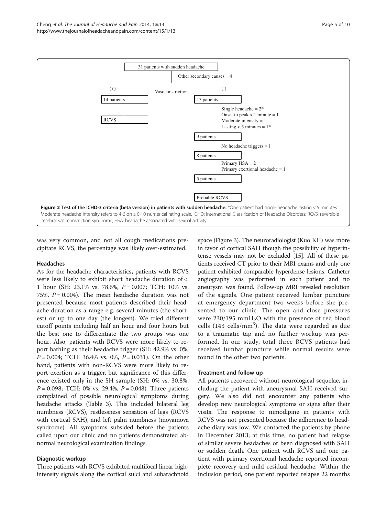<span id="page-4-0"></span>

was very common, and not all cough medications precipitate RCVS, the percentage was likely over-estimated.

#### Headaches

As for the headache characteristics, patients with RCVS were less likely to exhibit short headache duration of < 1 hour (SH: 23.1% vs. 78.6%, P = 0.007; TCH: 10% vs. 75%,  $P = 0.004$ ). The mean headache duration was not presented because most patients described their headache duration as a range e.g. several minutes (the shortest) or up to one day (the longest). We tried different cutoff points including half an hour and four hours but the best one to differentiate the two groups was one hour. Also, patients with RCVS were more likely to report bathing as their headache trigger (SH: 42.9% vs. 0%,  $P = 0.004$ ; TCH: 36.4% vs. 0%,  $P = 0.031$ ). On the other hand, patients with non-RCVS were more likely to report exertion as a trigger, but significance of this difference existed only in the SH sample (SH: 0% vs. 30.8%,  $P = 0.098$ ; TCH: 0% vs. 29.4%,  $P = 0.048$ ). Three patients complained of possible neurological symptoms during headache attacks (Table [3\)](#page-5-0). This included bilateral leg numbness (RCVS), restlessness sensation of legs (RCVS with cortical SAH), and left palm numbness (moyamoya syndrome). All symptoms subsided before the patients called upon our clinic and no patients demonstrated abnormal neurological examination findings.

#### Diagnostic workup

Three patients with RCVS exhibited multifocal linear highintensity signals along the cortical sulci and subarachnoid

space (Figure [3](#page-6-0)). The neuroradiologist (Kuo KH) was more in favor of cortical SAH though the possibility of hyperintense vessels may not be excluded [\[15\]](#page-9-0). All of these patients received CT prior to their MRI exams and only one patient exhibited comparable hyperdense lesions. Catheter angiography was performed in each patient and no aneurysm was found. Follow-up MRI revealed resolution of the signals. One patient received lumbar puncture at emergency department two weeks before she presented to our clinic. The open and close pressures were  $230/195$  mmH<sub>2</sub>O with the presence of red blood cells (143 cells/ $mm<sup>3</sup>$ ). The data were regarded as due to a traumatic tap and no further workup was performed. In our study, total three RCVS patients had received lumbar puncture while normal results were found in the other two patients.

#### Treatment and follow up

All patients recovered without neurological sequelae, including the patient with aneurysmal SAH received surgery. We also did not encounter any patients who develop new neurological symptoms or signs after their visits. The response to nimodipine in patients with RCVS was not presented because the adherence to headache diary was low. We contacted the patients by phone in December 2013; at this time, no patient had relapse of similar severe headaches or been diagnosed with SAH or sudden death. One patient with RCVS and one patient with primary exertional headache reported incomplete recovery and mild residual headache. Within the inclusion period, one patient reported relapse 22 months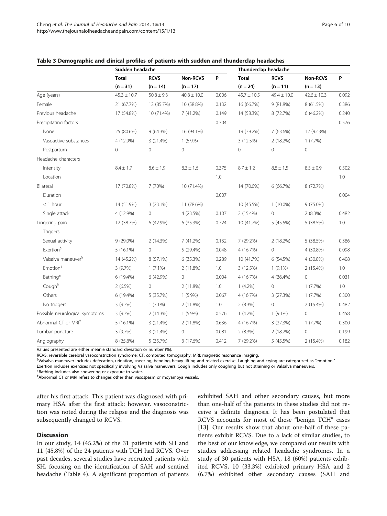|                                 |                     | Sudden headache           |                        |       | Thunderclap headache       |                           |                        |                           |
|---------------------------------|---------------------|---------------------------|------------------------|-------|----------------------------|---------------------------|------------------------|---------------------------|
|                                 | <b>Total</b>        | <b>RCVS</b><br>$(n = 14)$ | Non-RCVS<br>$(n = 17)$ | P     | <b>Total</b><br>$(n = 24)$ | <b>RCVS</b><br>$(n = 11)$ | Non-RCVS<br>$(n = 13)$ | $\boldsymbol{\mathsf{P}}$ |
|                                 | $(n = 31)$          |                           |                        |       |                            |                           |                        |                           |
| Age (years)                     | $45.3 \pm 10.7$     | $50.8 \pm 9.3$            | $40.8 \pm 10.0$        | 0.006 | $45.7 \pm 10.5$            | $49.4 \pm 10.0$           | $42.6 \pm 10.3$        | 0.092                     |
| Female                          | 21 (67.7%)          | 12 (85.7%)                | 10 (58.8%)             | 0.132 | 16 (66.7%)                 | 9 (81.8%)                 | 8 (61.5%)              | 0.386                     |
| Previous headache               | 17 (54.8%)          | 10 (71.4%)                | 7(41.2%)               | 0.149 | 14 (58.3%)                 | 8 (72.7%)                 | 6 (46.2%)              | 0.240                     |
| Precipitating factors           |                     |                           |                        | 0.304 |                            |                           |                        | 0.576                     |
| None                            | 25 (80.6%)          | $9(64.3\%)$               | 16 (94.1%)             |       | 19 (79.2%)                 | 7 (63.6%)                 | 12 (92.3%)             |                           |
| Vasoactive substances           | 4 (12.9%)           | 3 (21.4%)                 | $1(5.9\%)$             |       | 3 (12.5%)                  | 2 (18.2%)                 | $1(7.7\%)$             |                           |
| Postpartum                      | $\mathsf{O}\xspace$ | 0                         | $\circ$                |       | 0                          | 0                         | 0                      |                           |
| Headache characters             |                     |                           |                        |       |                            |                           |                        |                           |
| Intensity                       | $8.4 \pm 1.7$       | $8.6 \pm 1.9$             | $8.3 \pm 1.6$          | 0.375 | $8.7 \pm 1.2$              | $8.8 \pm 1.5$             | $8.5 \pm 0.9$          | 0.502                     |
| Location                        |                     |                           |                        | 1.0   |                            |                           |                        | 1.0                       |
| Bilateral                       | 17 (70.8%)          | 7 (70%)                   | 10 (71.4%)             |       | 14 (70.0%)                 | 6(66.7%)                  | 8 (72.7%)              |                           |
| Duration                        |                     |                           |                        | 0.007 |                            |                           |                        | 0.004                     |
| $<$ 1 hour                      | 14 (51.9%)          | 3 (23.1%)                 | 11 (78.6%)             |       | 10 (45.5%)                 | $1(10.0\%)$               | 9 (75.0%)              |                           |
| Single attack                   | 4 (12.9%)           | 0                         | 4 (23.5%)              | 0.107 | 2(15.4%)                   | 0                         | 2(8.3%)                | 0.482                     |
| Lingering pain                  | 12 (38.7%)          | 6 (42.9%)                 | 6(35.3%)               | 0.724 | 10 (41.7%)                 | 5 (45.5%)                 | 5 (38.5%)              | 1.0                       |
| Triggers                        |                     |                           |                        |       |                            |                           |                        |                           |
| Sexual activity                 | $9(29.0\%)$         | 2 (14.3%)                 | 7(41.2%)               | 0.132 | 7 (29.2%)                  | 2 (18.2%)                 | 5 (38.5%)              | 0.386                     |
| Exertion <sup>§</sup>           | $5(16.1\%)$         | 0                         | 5 (29.4%)              | 0.048 | 4 (16.7%)                  | 0                         | 4 (30.8%)              | 0.098                     |
| Valsalva maneuver <sup>§</sup>  | 14 (45.2%)          | 8 (57.1%)                 | 6 (35.3%)              | 0.289 | 10 (41.7%)                 | 6 (54.5%)                 | 4 (30.8%)              | 0.408                     |
| Emotion <sup>§</sup>            | 3(9.7%)             | $1(7.1\%)$                | 2(11.8%)               | 1.0   | 3 (12.5%)                  | $1(9.1\%)$                | 2 (15.4%)              | 1.0                       |
| Bathing*                        | 6 (19.4%)           | 6 (42.9%)                 | $\overline{0}$         | 0.004 | 4 (16.7%)                  | 4 (36.4%)                 | 0                      | 0.031                     |
| Cough <sup>§</sup>              | $2(6.5\%)$          | 0                         | 2(11.8%)               | 1.0   | $1(4.2\%)$                 | 0                         | 1(7.7%)                | 1.0                       |
| Others                          | 6 (19.4%)           | 5 (35.7%)                 | $1(5.9\%)$             | 0.067 | 4 (16.7%)                  | 3 (27.3%)                 | $1(7.7\%)$             | 0.300                     |
| No triggers                     | 3(9.7%)             | $1(7.1\%)$                | 2 (11.8%)              | 1.0   | 2(8.3%)                    | $\circ$                   | 2 (15.4%)              | 0.482                     |
| Possible neurological symptoms  | 3(9.7%)             | 2(14.3%)                  | $1(5.9\%)$             | 0.576 | $1(4.2\%)$                 | $1(9.1\%)$                | 0                      | 0.458                     |
| Abnormal CT or MRI <sup>+</sup> | $5(16.1\%)$         | 3 (21.4%)                 | 2 (11.8%)              | 0.636 | 4 (16.7%)                  | 3 (27.3%)                 | 1(7.7%)                | 0.300                     |
| Lumbar puncture                 | 3(9.7%)             | 3 (21.4%)                 | 0                      | 0.081 | 2(8.3%)                    | 2 (18.2%)                 | 0                      | 0.199                     |
| Angiography                     | 8 (25.8%)           | 5 (35.7%)                 | 3 (17.6%)              | 0.412 | 7 (29.2%)                  | 5 (45.5%)                 | 2 (15.4%)              | 0.182                     |

#### <span id="page-5-0"></span>Table 3 Demographic and clinical profiles of patients with sudden and thunderclap headaches

Values presented are either mean  $\pm$  standard deviation or number (%).

RCVS: reversible cerebral vasoconstriction syndrome; CT: computed tomography; MRI: magnetic resonance imaging.

§ Valsalva maneuver includes defecation, urination, sneezing, bending, heavy lifting and related exercise. Laughing and crying are categorized as "emotion." Exertion includes exercises not specifically involving Valsalva maneuvers. Cough includes only coughing but not straining or Valsalva maneuvers.

\*Bathing includes also showering or exposure to water.

† Abnormal CT or MRI refers to changes other than vasospasm or moyamoya vessels.

after his first attack. This patient was diagnosed with primary HSA after the first attack; however, vasoconstriction was noted during the relapse and the diagnosis was subsequently changed to RCVS.

#### **Discussion**

In our study, 14 (45.2%) of the 31 patients with SH and 11 (45.8%) of the 24 patients with TCH had RCVS. Over past decades, several studies have recruited patients with SH, focusing on the identification of SAH and sentinel headache (Table [4\)](#page-6-0). A significant proportion of patients

exhibited SAH and other secondary causes, but more than one-half of the patients in these studies did not receive a definite diagnosis. It has been postulated that RCVS accounts for most of these "benign TCH" cases [[13\]](#page-9-0). Our results show that about one-half of these patients exhibit RCVS. Due to a lack of similar studies, to the best of our knowledge, we compared our results with studies addressing related headache syndromes. In a study of 30 patients with HSA, 18 (60%) patients exhibited RCVS, 10 (33.3%) exhibited primary HSA and 2 (6.7%) exhibited other secondary causes (SAH and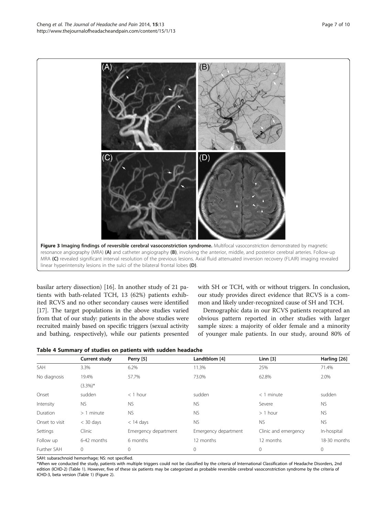<span id="page-6-0"></span>

basilar artery dissection) [\[16](#page-9-0)]. In another study of 21 patients with bath-related TCH, 13 (62%) patients exhibited RCVS and no other secondary causes were identified [[17](#page-9-0)]. The target populations in the above studies varied from that of our study: patients in the above studies were recruited mainly based on specific triggers (sexual activity and bathing, respectively), while our patients presented

with SH or TCH, with or without triggers. In conclusion, our study provides direct evidence that RCVS is a common and likely under-recognized cause of SH and TCH.

Demographic data in our RCVS patients recaptured an obvious pattern reported in other studies with larger sample sizes: a majority of older female and a minority of younger male patients. In our study, around 80% of

| Table 4 Summary of studies on patients with sudden headache |  |  |  |  |  |
|-------------------------------------------------------------|--|--|--|--|--|
|-------------------------------------------------------------|--|--|--|--|--|

|                | <b>Current study</b> | Perry [5]            | Landtblom [4]        | Linn[3]              | Harling [26] |
|----------------|----------------------|----------------------|----------------------|----------------------|--------------|
| SAH            | 3.3%                 | 6.2%                 | 11.3%                | 25%                  | 71.4%        |
| No diagnosis   | 19.4%                | 57.7%                | 73.0%                | 62.8%                | 2.0%         |
|                | $(3.3\%)^*$          |                      |                      |                      |              |
| Onset          | sudden               | $<$ 1 hour           | sudden               | $<$ 1 minute         | sudden       |
| Intensity      | <b>NS</b>            | <b>NS</b>            | <b>NS</b>            | Severe               | <b>NS</b>    |
| Duration       | $>1$ minute          | <b>NS</b>            | <b>NS</b>            | $> 1$ hour           | <b>NS</b>    |
| Onset to visit | $<$ 30 days          | $<$ 14 days          | <b>NS</b>            | <b>NS</b>            | <b>NS</b>    |
| Settings       | Clinic               | Emergency department | Emergency department | Clinic and emergency | In-hospital  |
| Follow up      | 6-42 months          | 6 months             | 12 months            | 12 months            | 18-30 months |
| Further SAH    | 0                    | 0                    | $\mathbf{0}$         | $\mathbf{0}$         | 0            |

SAH: subarachnoid hemorrhage; NS: not specified.

\*When we conducted the study, patients with multiple triggers could not be classified by the criteria of International Classification of Headache Disorders, 2nd edition (ICHD-2) (Table [1](#page-2-0)). However, five of these six patients may be categorized as probable reversible cerebral vasoconstriction syndrome by the criteria of ICHD-3, beta version (Table [1\)](#page-2-0) (Figure [2\)](#page-4-0).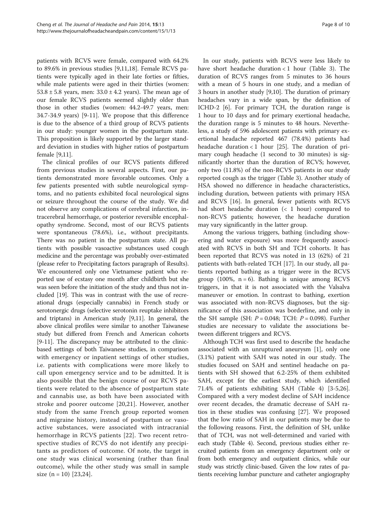patients with RCVS were female, compared with 64.2% to 89.6% in previous studies [\[9,11,18](#page-9-0)]. Female RCVS patients were typically aged in their late forties or fifties, while male patients were aged in their thirties (women:  $53.8 \pm 5.8$  years, men:  $33.0 \pm 4.2$  years). The mean age of our female RCVS patients seemed slightly older than those in other studies (women: 44.2-49.7 years, men: 34.7-34.9 years) [\[9-11](#page-9-0)]. We propose that this difference is due to the absence of a third group of RCVS patients in our study: younger women in the postpartum state. This proposition is likely supported by the larger standard deviation in studies with higher ratios of postpartum female [[9,11](#page-9-0)].

The clinical profiles of our RCVS patients differed from previous studies in several aspects. First, our patients demonstrated more favorable outcomes. Only a few patients presented with subtle neurological symptoms, and no patients exhibited focal neurological signs or seizure throughout the course of the study. We did not observe any complications of cerebral infarction, intracerebral hemorrhage, or posterior reversible encephalopathy syndrome. Second, most of our RCVS patients were spontaneous (78.6%), i.e., without precipitants. There was no patient in the postpartum state. All patients with possible vasoactive substances used cough medicine and the percentage was probably over-estimated (please refer to Precipitating factors paragraph of Results). We encountered only one Vietnamese patient who reported use of ecstasy one month after childbirth but she was seen before the initiation of the study and thus not included [\[19](#page-9-0)]. This was in contrast with the use of recreational drugs (especially cannabis) in French study or serotonergic drugs (selective serotonin reuptake inhibitors and triptans) in American study [[9,11](#page-9-0)]. In general, the above clinical profiles were similar to another Taiwanese study but differed from French and American cohorts [[9-11\]](#page-9-0). The discrepancy may be attributed to the clinicbased settings of both Taiwanese studies, in comparison with emergency or inpatient settings of other studies, i.e. patients with complications were more likely to call upon emergency service and to be admitted. It is also possible that the benign course of our RCVS patients were related to the absence of postpartum state and cannabis use, as both have been associated with stroke and poorer outcome [\[20,21](#page-9-0)]. However, another study from the same French group reported women and migraine history, instead of postpartum or vasoactive substances, were associated with intracranial hemorrhage in RCVS patients [\[22\]](#page-9-0). Two recent retrospective studies of RCVS do not identify any precipitants as predictors of outcome. Of note, the target in one study was clinical worsening (rather than final outcome), while the other study was small in sample size  $(n = 10)$  [[23,24\]](#page-9-0).

In our study, patients with RCVS were less likely to have short headache duration < 1 hour (Table [3\)](#page-5-0). The duration of RCVS ranges from 5 minutes to 36 hours with a mean of 5 hours in one study, and a median of 3 hours in another study [[9,10\]](#page-9-0). The duration of primary headaches vary in a wide span, by the definition of ICHD-2 [\[6](#page-9-0)]. For primary TCH, the duration range is 1 hour to 10 days and for primary exertional headache, the duration range is 5 minutes to 48 hours. Nevertheless, a study of 596 adolescent patients with primary exertional headache reported 467 (78.4%) patients had headache duration < 1 hour [\[25](#page-9-0)]. The duration of primary cough headache (1 second to 30 minutes) is significantly shorter than the duration of RCVS; however, only two (11.8%) of the non-RCVS patients in our study reported cough as the trigger (Table [3](#page-5-0)). Another study of HSA showed no difference in headache characteristics, including duration, between patients with primary HSA and RCVS [\[16](#page-9-0)]. In general, fewer patients with RCVS had short headache duration (< 1 hour) compared to non-RCVS patients; however, the headache duration may vary significantly in the latter group.

Among the various triggers, bathing (including showering and water exposure) was more frequently associated with RCVS in both SH and TCH cohorts. It has been reported that RCVS was noted in 13 (62%) of 21 patients with bath-related TCH [\[17](#page-9-0)]. In our study, all patients reported bathing as a trigger were in the RCVS group  $(100\% , n = 6)$ . Bathing is unique among RCVS triggers, in that it is not associated with the Valsalva maneuver or emotion. In contrast to bathing, exertion was associated with non-RCVS diagnoses, but the significance of this association was borderline, and only in the SH sample (SH:  $P = 0.048$ ; TCH:  $P = 0.098$ ). Further studies are necessary to validate the associations between different triggers and RCVS.

Although TCH was first used to describe the headache associated with an unruptured aneurysm [[1](#page-8-0)], only one (3.1%) patient with SAH was noted in our study. The studies focused on SAH and sentinel headache on patients with SH showed that 6.2-25% of them exhibited SAH, except for the earliest study, which identified 71.4% of patients exhibiting SAH (Table [4](#page-6-0)) [[3-5](#page-8-0)[,26](#page-9-0)]. Compared with a very modest decline of SAH incidence over recent decades, the dramatic decrease of SAH ratios in these studies was confusing [\[27\]](#page-9-0). We proposed that the low ratio of SAH in our patients may be due to the following reasons. First, the definition of SH, unlike that of TCH, was not well-determined and varied with each study (Table [4](#page-6-0)). Second, previous studies either recruited patients from an emergency department only or from both emergency and outpatient clinics, while our study was strictly clinic-based. Given the low rates of patients receiving lumbar puncture and catheter angiography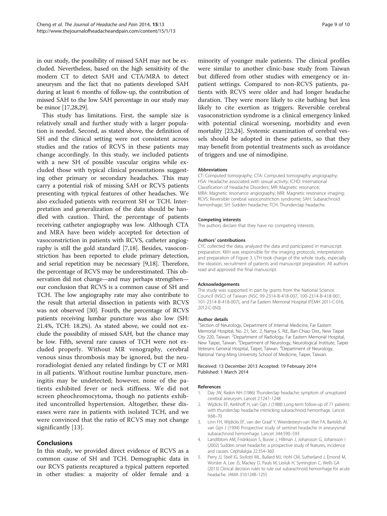<span id="page-8-0"></span>in our study, the possibility of missed SAH may not be excluded. Nevertheless, based on the high sensitivity of the modern CT to detect SAH and CTA/MRA to detect aneurysm and the fact that no patients developed SAH during at least 6 months of follow-up, the contribution of missed SAH to the low SAH percentage in our study may be minor [\[17,28,29\]](#page-9-0).

This study has limitations. First, the sample size is relatively small and further study with a larger population is needed. Second, as stated above, the definition of SH and the clinical setting were not consistent across studies and the ratios of RCVS in these patients may change accordingly. In this study, we included patients with a new SH of possible vascular origins while excluded those with typical clinical presentations suggesting other primary or secondary headaches. This may carry a potential risk of missing SAH or RCVS patients presenting with typical features of other headaches. We also excluded patients with recurrent SH or TCH. Interpretation and generalization of the data should be handled with caution. Third, the percentage of patients receiving catheter angiography was low. Although CTA and MRA have been widely accepted for detection of vasoconstriction in patients with RCVS, catheter angiography is still the gold standard [\[7,18\]](#page-9-0). Besides, vasoconstriction has been reported to elude primary detection, and serial repetition may be necessary [\[9,18\]](#page-9-0). Therefore, the percentage of RCVS may be underestimated. This observation did not change—and may perhaps strengthen our conclusion that RCVS is a common cause of SH and TCH. The low angiography rate may also contribute to the result that arterial dissection in patients with RCVS was not observed [[30](#page-9-0)]. Fourth, the percentage of RCVS patients receiving lumbar puncture was also low (SH: 21.4%, TCH: 18.2%). As stated above, we could not exclude the possibility of missed SAH, but the chance may be low. Fifth, several rare causes of TCH were not excluded properly. Without MR venography, cerebral venous sinus thrombosis may be ignored, but the neuroradiologist denied any related findings by CT or MRI in all patients. Without routine lumbar puncture, meningitis may be undetected; however, none of the patients exhibited fever or neck stiffness. We did not screen pheochromocytoma, though no patients exhibited uncontrolled hypertension. Altogether, these diseases were rare in patients with isolated TCH, and we were convinced that the ratio of RCVS may not change significantly [[13\]](#page-9-0).

## Conclusions

In this study, we provided direct evidence of RCVS as a common cause of SH and TCH. Demographic data in our RCVS patients recaptured a typical pattern reported in other studies: a majority of older female and a

minority of younger male patients. The clinical profiles were similar to another clinic-base study from Taiwan but differed from other studies with emergency or inpatient settings. Compared to non-RCVS patients, patients with RCVS were older and had longer headache duration. They were more likely to cite bathing but less likely to cite exertion as triggers. Reversible cerebral vasoconstriction syndrome is a clinical emergency linked with potential clinical worsening, morbidity and even mortality [[23,24\]](#page-9-0). Systemic examination of cerebral vessels should be adopted in these patients, so that they may benefit from potential treatments such as avoidance of triggers and use of nimodipine.

#### Abbreviations

CT: Computed tomography; CTA: Computed tomography angiography; HSA: Headache associated with sexual activity; ICHD: International Classification of Headache Disorders; MR: Magnetic resonance; MRA: Magnetic resonance angiography; MRI: Magnetic resonance imaging; RCVS: Reversible cerebral vasoconstriction syndrome; SAH: Subarachnoid hemorrhage; SH: Sudden headache; TCH: Thunderclap headache.

#### Competing interests

The authors declare that they have no competing interests.

#### Authors' contributions

CYC collected the data, analyzed the data and participated in manuscript preparation. KKH was responsible for the imaging protocols, interpretation and preparation of Figure [3](#page-6-0). LTH took charge of the whole study, especially the ideation, recruitment of patients and manuscript preparation. All authors read and approved the final manuscript.

#### Acknowledgements

The study was supported in part by grants from the National Science Council (NSC) of Taiwan (NSC 99-2314-B-418-007, 100-2314-B-418-001, 101-2314-B-418-007), and Far Eastern Memorial Hospital (FEMH 2011-C-016, 2012-C-050).

#### Author details

<sup>1</sup>Section of Neurology, Department of Internal Medicine, Far Eastern Memorial Hospital, No. 21, Sec. 2, Nanya S. Rd., Ban-Chiao Dist., New Taipei City 220, Taiwan. <sup>2</sup> Department of Radiology, Far Eastern Memorial Hospital New Taipei, Taiwan. <sup>3</sup>Department of Neurology, Neurological Institute, Taipei Veterans General Hospital, Taipei, Taiwan. <sup>4</sup>Department of Neurology, National Yang-Ming University School of Medicine, Taipei, Taiwan.

#### Received: 13 December 2013 Accepted: 19 February 2014 Published: 1 March 2014

#### References

- 1. Day JW, Raskin NH (1986) Thunderclap headache: symptom of unruptured cerebral aneurysm. Lancet 2:1247–1248
- 2. Wijdicks EF, Kerkhoff H, van Gijn J (1988) Long-term follow-up of 71 patients with thunderclap headache mimicking subarachnoid hemorrhage. Lancet 9:68–70
- 3. Linn FH, Wijdicks EF, van der Graaf Y, Weerdesteyn-van Vliet FA, Bartelds AI, van Gijn J (1994) Prospective study of sentinel headache in aneurysmal subarachnoid hemorrhage. Lancet 344:590–593
- 4. Landtblom AM, Fridriksson S, Boivie J, Hillman J, Johansson G, Johansson I (2002) Sudden onset headache: a prospective study of features, incidence and causes. Cephalalgia 22:354–360
- 5. Perry JJ, Stiell IG, Sivilotti ML, Bullard MJ, Hohl CM, Sutherland J, Emond M, Worster A, Lee JS, Mackey D, Pauls M, Lesiuk H, Symington C, Wells GA (2013) Clinical decision rules to rule out subarachnoid hemorrhage for acute headache. JAMA 310:1248–1255